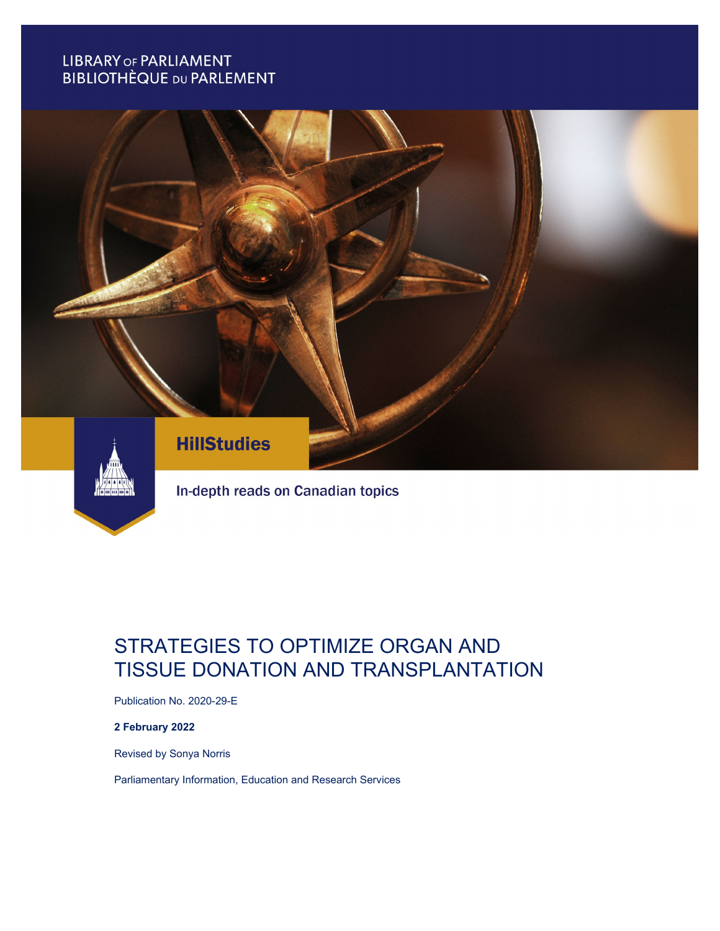# **LIBRARY OF PARLIAMENT BIBLIOTHÈQUE DU PARLEMENT**



# In-depth reads on Canadian topics

# STRATEGIES TO OPTIMIZE ORGAN AND TISSUE DONATION AND TRANSPLANTATION

Publication No. 2020-29-E

#### **2 February 2022**

Revised by Sonya Norris

Parliamentary Information, Education and Research Services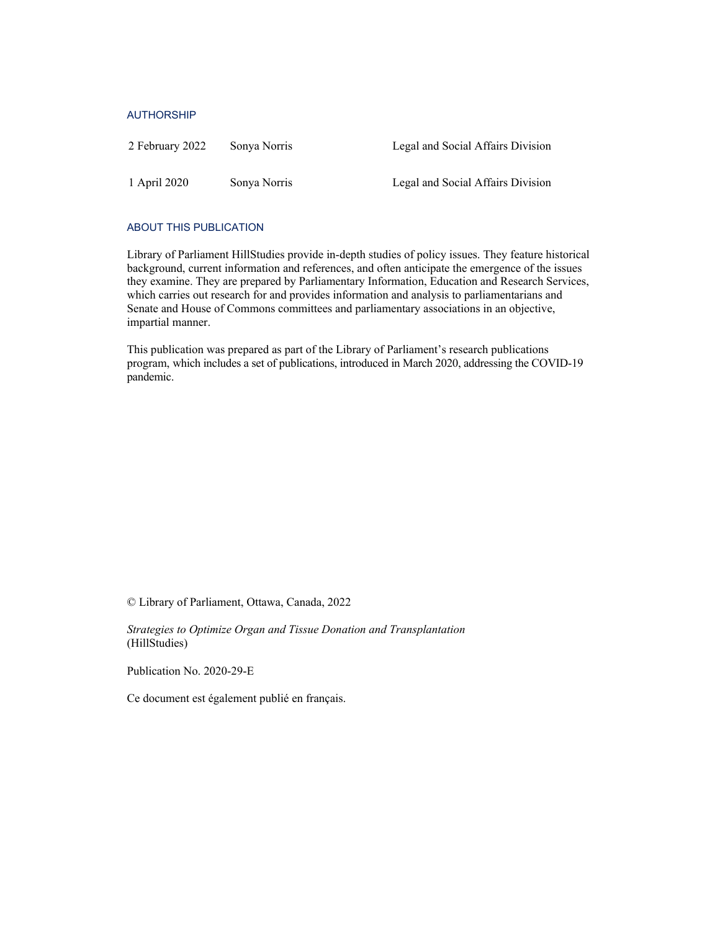#### AUTHORSHIP

| 2 February 2022 | Sonya Norris | Legal and Social Affairs Division |
|-----------------|--------------|-----------------------------------|
| 1 April 2020    | Sonya Norris | Legal and Social Affairs Division |

#### ABOUT THIS PUBLICATION

Library of Parliament HillStudies provide in-depth studies of policy issues. They feature historical background, current information and references, and often anticipate the emergence of the issues they examine. They are prepared by Parliamentary Information, Education and Research Services, which carries out research for and provides information and analysis to parliamentarians and Senate and House of Commons committees and parliamentary associations in an objective, impartial manner.

This publication was prepared as part of the Library of Parliament's research publications program, which includes a set of publications, introduced in March 2020, addressing the COVID-19 pandemic.

© Library of Parliament, Ottawa, Canada, 2022

*Strategies to Optimize Organ and Tissue Donation and Transplantation* (HillStudies)

Publication No. 2020-29-E

Ce document est également publié en français.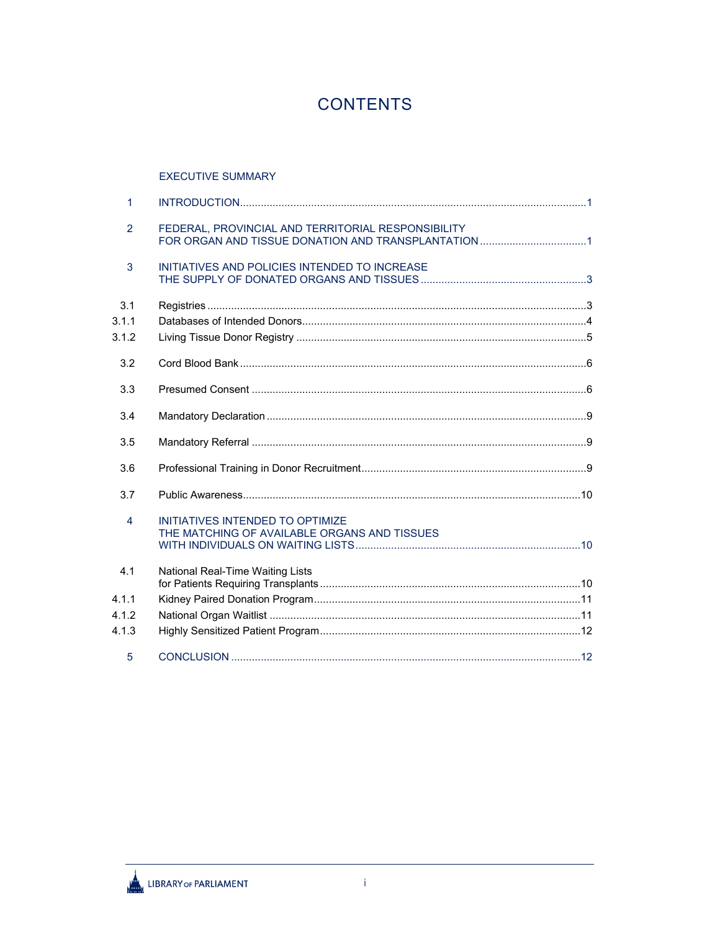# **CONTENTS**

### **EXECUTIVE SUMMARY**

| $\mathbf{1}$          |                                                                                  |  |
|-----------------------|----------------------------------------------------------------------------------|--|
| $\overline{2}$        | FEDERAL, PROVINCIAL AND TERRITORIAL RESPONSIBILITY                               |  |
| 3                     | INITIATIVES AND POLICIES INTENDED TO INCREASE                                    |  |
| 3.1<br>3.1.1<br>3.1.2 |                                                                                  |  |
| 3.2                   |                                                                                  |  |
| 3.3                   |                                                                                  |  |
| 3.4                   |                                                                                  |  |
| 3.5                   |                                                                                  |  |
| 3.6                   |                                                                                  |  |
| 3.7                   |                                                                                  |  |
| 4                     | INITIATIVES INTENDED TO OPTIMIZE<br>THE MATCHING OF AVAILABLE ORGANS AND TISSUES |  |
| 4.1                   | National Real-Time Waiting Lists                                                 |  |
| 4.1.1                 |                                                                                  |  |
| 4.1.2                 |                                                                                  |  |
| 4.1.3                 |                                                                                  |  |
| 5                     |                                                                                  |  |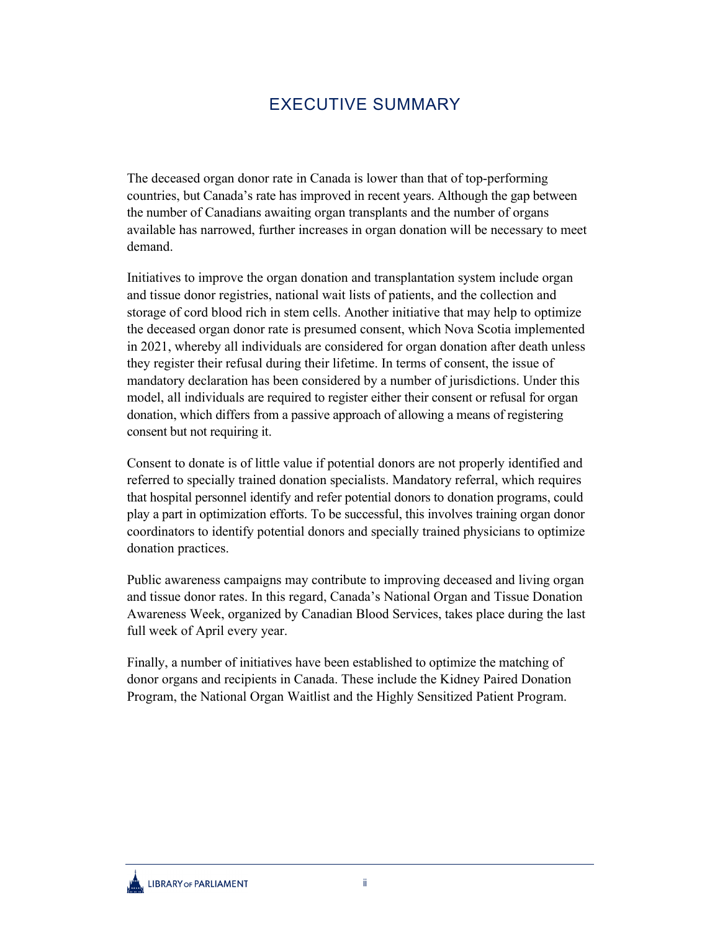# EXECUTIVE SUMMARY

<span id="page-3-0"></span>The deceased organ donor rate in Canada is lower than that of top-performing countries, but Canada's rate has improved in recent years. Although the gap between the number of Canadians awaiting organ transplants and the number of organs available has narrowed, further increases in organ donation will be necessary to meet demand.

Initiatives to improve the organ donation and transplantation system include organ and tissue donor registries, national wait lists of patients, and the collection and storage of cord blood rich in stem cells. Another initiative that may help to optimize the deceased organ donor rate is presumed consent, which Nova Scotia implemented in 2021, whereby all individuals are considered for organ donation after death unless they register their refusal during their lifetime. In terms of consent, the issue of mandatory declaration has been considered by a number of jurisdictions. Under this model, all individuals are required to register either their consent or refusal for organ donation, which differs from a passive approach of allowing a means of registering consent but not requiring it.

Consent to donate is of little value if potential donors are not properly identified and referred to specially trained donation specialists. Mandatory referral, which requires that hospital personnel identify and refer potential donors to donation programs, could play a part in optimization efforts. To be successful, this involves training organ donor coordinators to identify potential donors and specially trained physicians to optimize donation practices.

Public awareness campaigns may contribute to improving deceased and living organ and tissue donor rates. In this regard, Canada's National Organ and Tissue Donation Awareness Week, organized by Canadian Blood Services, takes place during the last full week of April every year.

Finally, a number of initiatives have been established to optimize the matching of donor organs and recipients in Canada. These include the Kidney Paired Donation Program, the National Organ Waitlist and the Highly Sensitized Patient Program.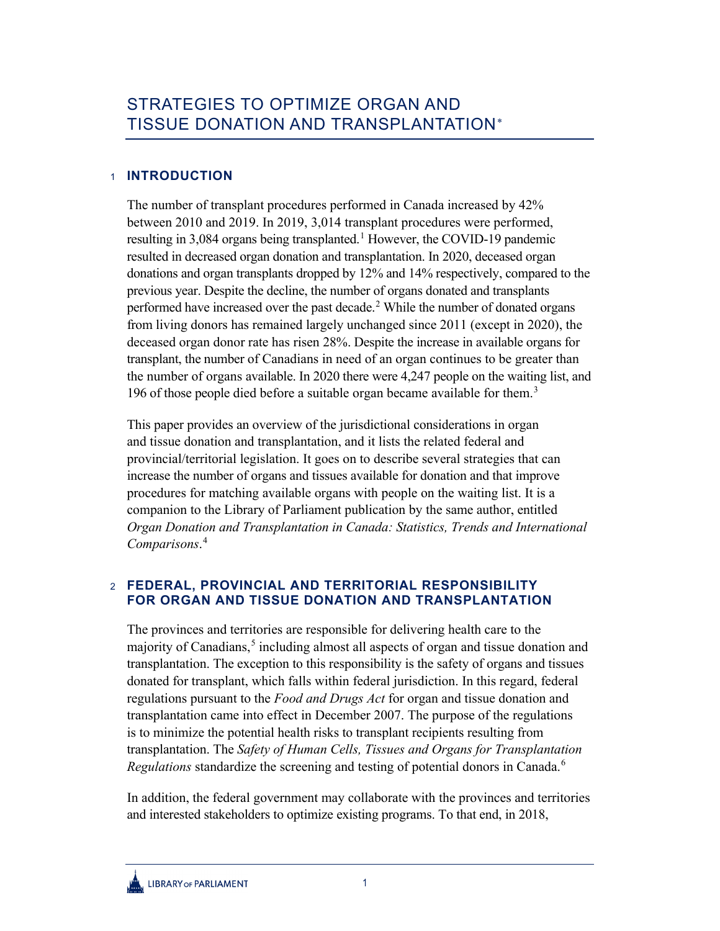## <span id="page-4-0"></span>1 **INTRODUCTION**

The number of transplant procedures performed in Canada increased by 42% between 2010 and 2019. In 2019, 3,014 transplant procedures were performed, resulting in 3,084 organs being transplanted.<sup>[1](#page-15-3)</sup> However, the COVID-19 pandemic resulted in decreased organ donation and transplantation. In 2020, deceased organ donations and organ transplants dropped by 12% and 14% respectively, compared to the previous year. Despite the decline, the number of organs donated and transplants performed have increased over the past decade.<sup>[2](#page-15-4)</sup> While the number of donated organs from living donors has remained largely unchanged since 2011 (except in 2020), the deceased organ donor rate has risen 28%. Despite the increase in available organs for transplant, the number of Canadians in need of an organ continues to be greater than the number of organs available. In 2020 there were 4,247 people on the waiting list, and 196 of those people died before a suitable organ became available for them.<sup>[3](#page-15-5)</sup>

This paper provides an overview of the jurisdictional considerations in organ and tissue donation and transplantation, and it lists the related federal and provincial/territorial legislation. It goes on to describe several strategies that can increase the number of organs and tissues available for donation and that improve procedures for matching available organs with people on the waiting list. It is a companion to the Library of Parliament publication by the same author, entitled *Organ Donation and Transplantation in Canada: Statistics, Trends and International Comparisons*. [4](#page-15-6)

# <span id="page-4-1"></span>2 **FEDERAL, PROVINCIAL AND TERRITORIAL RESPONSIBILITY FOR ORGAN AND TISSUE DONATION AND TRANSPLANTATION**

The provinces and territories are responsible for delivering health care to the majority of Canadians,<sup>[5](#page-15-7)</sup> including almost all aspects of organ and tissue donation and transplantation. The exception to this responsibility is the safety of organs and tissues donated for transplant, which falls within federal jurisdiction. In this regard, federal regulations pursuant to the *Food and Drugs Act* for organ and tissue donation and transplantation came into effect in December 2007. The purpose of the regulations is to minimize the potential health risks to transplant recipients resulting from transplantation. The *Safety of Human Cells, Tissues and Organs for Transplantation Regulations* standardize the screening and testing of potential donors in Canada.<sup>[6](#page-15-8)</sup>

In addition, the federal government may collaborate with the provinces and territories and interested stakeholders to optimize existing programs. To that end, in 2018,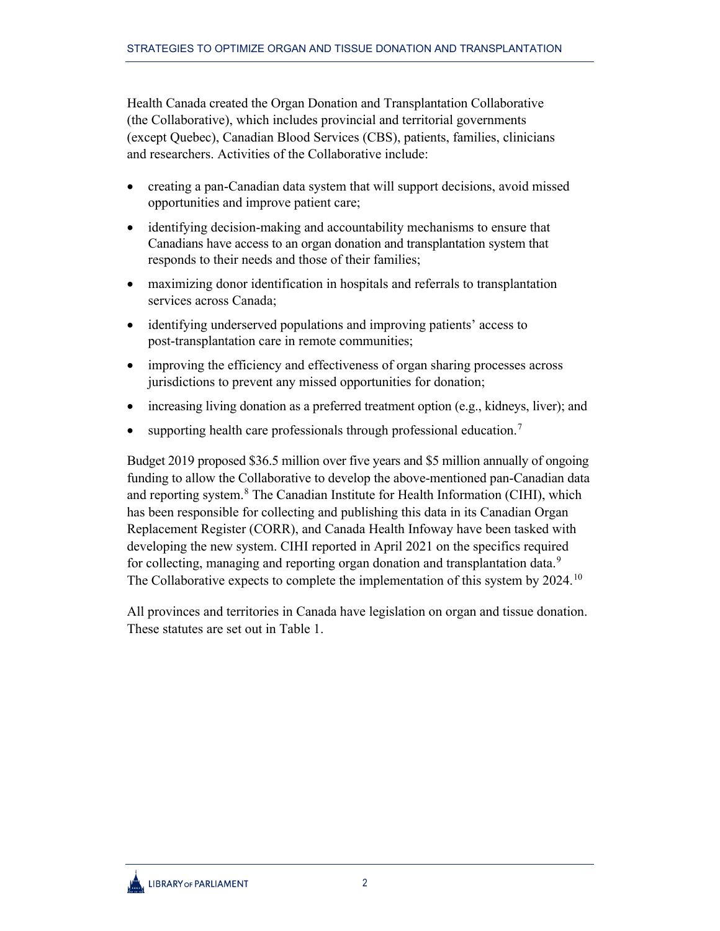Health Canada created the Organ Donation and Transplantation Collaborative (the Collaborative), which includes provincial and territorial governments (except Quebec), Canadian Blood Services (CBS), patients, families, clinicians and researchers. Activities of the Collaborative include:

- creating a pan-Canadian data system that will support decisions, avoid missed opportunities and improve patient care;
- identifying decision-making and accountability mechanisms to ensure that Canadians have access to an organ donation and transplantation system that responds to their needs and those of their families;
- maximizing donor identification in hospitals and referrals to transplantation services across Canada;
- identifying underserved populations and improving patients' access to post-transplantation care in remote communities;
- improving the efficiency and effectiveness of organ sharing processes across jurisdictions to prevent any missed opportunities for donation;
- increasing living donation as a preferred treatment option (e.g., kidneys, liver); and
- supporting health care professionals through professional education.<sup>[7](#page-15-9)</sup>

Budget 2019 proposed \$36.5 million over five years and \$5 million annually of ongoing funding to allow the Collaborative to develop the above-mentioned pan-Canadian data and reporting system.<sup>[8](#page-15-10)</sup> The Canadian Institute for Health Information (CIHI), which has been responsible for collecting and publishing this data in its Canadian Organ Replacement Register (CORR), and Canada Health Infoway have been tasked with developing the new system. CIHI reported in April 2021 on the specifics required for collecting, managing and reporting organ donation and transplantation data.<sup>[9](#page-15-11)</sup> The Collaborative expects to complete the implementation of this system by  $2024$ .<sup>[10](#page-16-0)</sup>

All provinces and territories in Canada have legislation on organ and tissue donation. These statutes are set out in Table 1.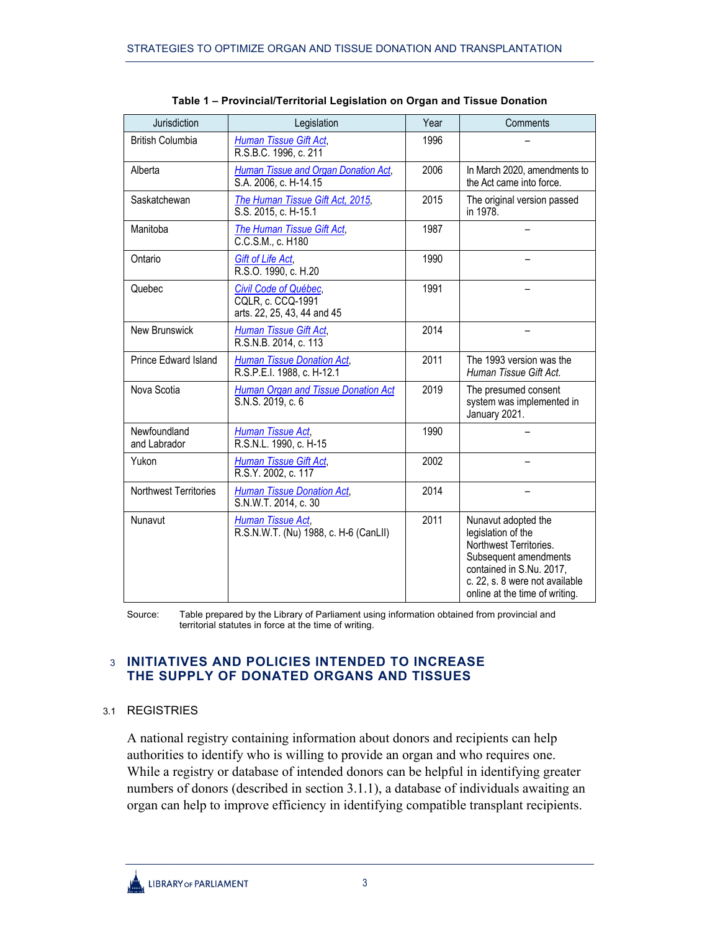| Jurisdiction                 | Legislation                                                               | Year | Comments                                                                                                                                                                                     |
|------------------------------|---------------------------------------------------------------------------|------|----------------------------------------------------------------------------------------------------------------------------------------------------------------------------------------------|
| <b>British Columbia</b>      | <b>Human Tissue Gift Act,</b><br>R.S.B.C. 1996, c. 211                    | 1996 |                                                                                                                                                                                              |
| Alberta                      | <b>Human Tissue and Organ Donation Act,</b><br>S.A. 2006, c. H-14.15      | 2006 | In March 2020, amendments to<br>the Act came into force.                                                                                                                                     |
| Saskatchewan                 | The Human Tissue Gift Act, 2015,<br>S.S. 2015, c. H-15.1                  | 2015 | The original version passed<br>in 1978.                                                                                                                                                      |
| Manitoba                     | The Human Tissue Gift Act,<br>C.C.S.M., c. H180                           | 1987 |                                                                                                                                                                                              |
| Ontario                      | Gift of Life Act,<br>R.S.O. 1990, c. H.20                                 | 1990 |                                                                                                                                                                                              |
| Quebec                       | Civil Code of Québec,<br>CQLR, c. CCQ-1991<br>arts. 22, 25, 43, 44 and 45 | 1991 |                                                                                                                                                                                              |
| New Brunswick                | <b>Human Tissue Gift Act,</b><br>R.S.N.B. 2014, c. 113                    | 2014 |                                                                                                                                                                                              |
| <b>Prince Edward Island</b>  | <b>Human Tissue Donation Act,</b><br>R.S.P.E.I. 1988, c. H-12.1           | 2011 | The 1993 version was the<br>Human Tissue Gift Act.                                                                                                                                           |
| Nova Scotia                  | <b>Human Organ and Tissue Donation Act</b><br>S.N.S. 2019, c. 6           | 2019 | The presumed consent<br>system was implemented in<br>January 2021.                                                                                                                           |
| Newfoundland<br>and Labrador | Human Tissue Act,<br>R.S.N.L. 1990, c. H-15                               | 1990 |                                                                                                                                                                                              |
| Yukon                        | <b>Human Tissue Gift Act,</b><br>R.S.Y. 2002, c. 117                      | 2002 |                                                                                                                                                                                              |
| <b>Northwest Territories</b> | <b>Human Tissue Donation Act,</b><br>S.N.W.T. 2014, c. 30                 | 2014 |                                                                                                                                                                                              |
| Nunavut                      | Human Tissue Act,<br>R.S.N.W.T. (Nu) 1988, c. H-6 (CanLII)                | 2011 | Nunavut adopted the<br>legislation of the<br>Northwest Territories.<br>Subsequent amendments<br>contained in S.Nu. 2017,<br>c. 22, s. 8 were not available<br>online at the time of writing. |

**Table 1 – Provincial/Territorial Legislation on Organ and Tissue Donation**

Source: Table prepared by the Library of Parliament using information obtained from provincial and territorial statutes in force at the time of writing.

## <span id="page-6-0"></span>3 **INITIATIVES AND POLICIES INTENDED TO INCREASE THE SUPPLY OF DONATED ORGANS AND TISSUES**

## <span id="page-6-1"></span>3.1 REGISTRIES

A national registry containing information about donors and recipients can help authorities to identify who is willing to provide an organ and who requires one. While a registry or database of intended donors can be helpful in identifying greater numbers of donors (described in section 3.1.1), a database of individuals awaiting an organ can help to improve efficiency in identifying compatible transplant recipients.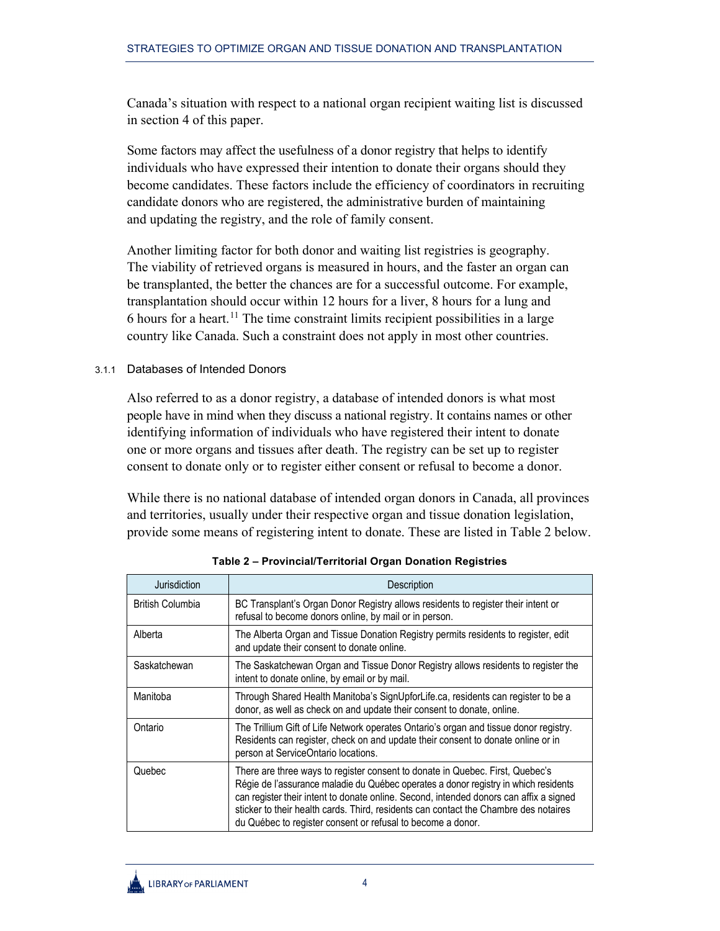Canada's situation with respect to a national organ recipient waiting list is discussed in section 4 of this paper.

Some factors may affect the usefulness of a donor registry that helps to identify individuals who have expressed their intention to donate their organs should they become candidates. These factors include the efficiency of coordinators in recruiting candidate donors who are registered, the administrative burden of maintaining and updating the registry, and the role of family consent.

Another limiting factor for both donor and waiting list registries is geography. The viability of retrieved organs is measured in hours, and the faster an organ can be transplanted, the better the chances are for a successful outcome. For example, transplantation should occur within 12 hours for a liver, 8 hours for a lung and 6 hours for a heart.<sup>[11](#page-16-1)</sup> The time constraint limits recipient possibilities in a large country like Canada. Such a constraint does not apply in most other countries.

### <span id="page-7-0"></span>3.1.1 Databases of Intended Donors

Also referred to as a donor registry, a database of intended donors is what most people have in mind when they discuss a national registry. It contains names or other identifying information of individuals who have registered their intent to donate one or more organs and tissues after death. The registry can be set up to register consent to donate only or to register either consent or refusal to become a donor.

While there is no national database of intended organ donors in Canada, all provinces and territories, usually under their respective organ and tissue donation legislation, provide some means of registering intent to donate. These are listed in Table 2 below.

| Jurisdiction            | Description                                                                                                                                                                                                                                                                                                                                                                                                           |
|-------------------------|-----------------------------------------------------------------------------------------------------------------------------------------------------------------------------------------------------------------------------------------------------------------------------------------------------------------------------------------------------------------------------------------------------------------------|
| <b>British Columbia</b> | BC Transplant's Organ Donor Registry allows residents to register their intent or<br>refusal to become donors online, by mail or in person.                                                                                                                                                                                                                                                                           |
| Alberta                 | The Alberta Organ and Tissue Donation Registry permits residents to register, edit<br>and update their consent to donate online.                                                                                                                                                                                                                                                                                      |
| Saskatchewan            | The Saskatchewan Organ and Tissue Donor Registry allows residents to register the<br>intent to donate online, by email or by mail.                                                                                                                                                                                                                                                                                    |
| Manitoba                | Through Shared Health Manitoba's SignUpforLife.ca, residents can register to be a<br>donor, as well as check on and update their consent to donate, online.                                                                                                                                                                                                                                                           |
| Ontario                 | The Trillium Gift of Life Network operates Ontario's organ and tissue donor registry.<br>Residents can register, check on and update their consent to donate online or in<br>person at ServiceOntario locations.                                                                                                                                                                                                      |
| Quebec                  | There are three ways to register consent to donate in Quebec. First, Quebec's<br>Régie de l'assurance maladie du Québec operates a donor registry in which residents<br>can register their intent to donate online. Second, intended donors can affix a signed<br>sticker to their health cards. Third, residents can contact the Chambre des notaires<br>du Québec to register consent or refusal to become a donor. |

**Table 2 – Provincial/Territorial Organ Donation Registries**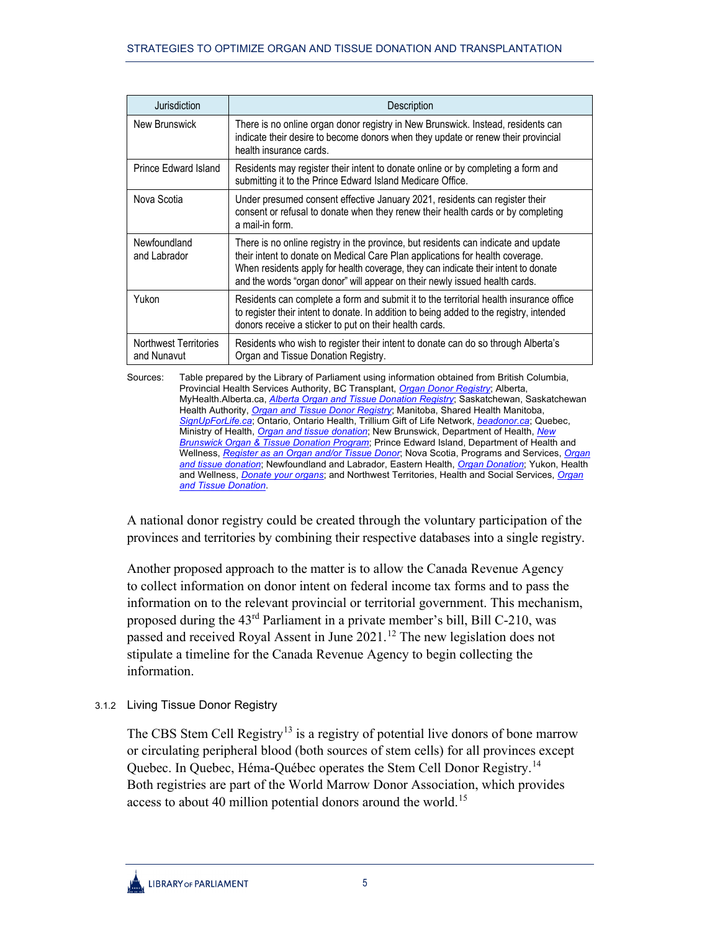| Jurisdiction                                | Description                                                                                                                                                                                                                                                                                                                              |  |
|---------------------------------------------|------------------------------------------------------------------------------------------------------------------------------------------------------------------------------------------------------------------------------------------------------------------------------------------------------------------------------------------|--|
| New Brunswick                               | There is no online organ donor registry in New Brunswick. Instead, residents can<br>indicate their desire to become donors when they update or renew their provincial<br>health insurance cards.                                                                                                                                         |  |
| Prince Edward Island                        | Residents may register their intent to donate online or by completing a form and<br>submitting it to the Prince Edward Island Medicare Office.                                                                                                                                                                                           |  |
| Nova Scotia                                 | Under presumed consent effective January 2021, residents can register their<br>consent or refusal to donate when they renew their health cards or by completing<br>a mail-in form.                                                                                                                                                       |  |
| Newfoundland<br>and Labrador                | There is no online registry in the province, but residents can indicate and update<br>their intent to donate on Medical Care Plan applications for health coverage.<br>When residents apply for health coverage, they can indicate their intent to donate<br>and the words "organ donor" will appear on their newly issued health cards. |  |
| Yukon                                       | Residents can complete a form and submit it to the territorial health insurance office<br>to register their intent to donate. In addition to being added to the registry, intended<br>donors receive a sticker to put on their health cards.                                                                                             |  |
| <b>Northwest Territories</b><br>and Nunavut | Residents who wish to register their intent to donate can do so through Alberta's<br>Organ and Tissue Donation Registry.                                                                                                                                                                                                                 |  |

Sources: Table prepared by the Library of Parliament using information obtained from British Columbia, Provincial Health Services Authority, BC Transplant, *[Organ Donor Registry](http://www.transplant.bc.ca/our-services/organ-donor-registry)*; Alberta, MyHealth.Alberta.ca, *[Alberta Organ and Tissue Donation Registry](https://myhealth.alberta.ca/Pages/OTDRHome.aspx)*; Saskatchewan, Saskatchewan Health Authority, *[Organ and Tissue Donor Registry](https://www.saskatchewan.ca/residents/health/accessing-health-care-services/organ-and-tissue-donor-registry)*; Manitoba, Shared Health Manitoba, *[SignUpForLife.ca](https://www.signupforlife.ca/)*; Ontario, Ontario Health, Trillium Gift of Life Network, *[beadonor.ca](https://beadonor.ca/)*; Quebec, Ministry of Health, *[Organ and tissue donation](https://www.quebec.ca/en/health/blood-tissue-and-organ-donation/organ-and-tissue-donation/procedure/)*; New Brunswick, Department of Health, *[New](https://www2.gnb.ca/content/gnb/en/departments/health/Hospital-Services/content/organ_donation.html)  [Brunswick Organ & Tissue Donation Program](https://www2.gnb.ca/content/gnb/en/departments/health/Hospital-Services/content/organ_donation.html)*; Prince Edward Island, Department of Health and Wellness, *[Register as an Organ and/or Tissue Donor](https://www.princeedwardisland.ca/en/service/register-organ-andor-tissue-donor)*; Nova Scotia, Programs and Services, *[Organ](https://beta.novascotia.ca/organ-and-tissue-donation)  [and tissue donation](https://beta.novascotia.ca/organ-and-tissue-donation)*; Newfoundland and Labrador, Eastern Health, *[Organ Donation](https://www.easternhealth.ca/find-health-care/organ-donation/)*; Yukon, Health and Wellness, *[Donate your organs](https://yukon.ca/en/health-and-wellness/health-concerns-diseases-and-conditions/donate-your-organs)*; and Northwest Territories, Health and Social Services, *[Organ](https://www.hss.gov.nt.ca/en/services/organ-and-tissue-donation/organ-and-tissue-donation-registration-process)  [and Tissue Donation](https://www.hss.gov.nt.ca/en/services/organ-and-tissue-donation/organ-and-tissue-donation-registration-process)*.

A national donor registry could be created through the voluntary participation of the provinces and territories by combining their respective databases into a single registry.

Another proposed approach to the matter is to allow the Canada Revenue Agency to collect information on donor intent on federal income tax forms and to pass the information on to the relevant provincial or territorial government. This mechanism, proposed during the 43rd Parliament in a private member's bill, Bill C-210, was passed and received Royal Assent in June 2021.<sup>[12](#page-16-2)</sup> The new legislation does not stipulate a timeline for the Canada Revenue Agency to begin collecting the information.

<span id="page-8-0"></span>3.1.2 Living Tissue Donor Registry

The CBS Stem Cell Registry<sup>13</sup> is a registry of potential live donors of bone marrow or circulating peripheral blood (both sources of stem cells) for all provinces except Quebec. In Quebec, Héma-Québec operates the Stem Cell Donor Registry.<sup>[14](#page-16-4)</sup> Both registries are part of the World Marrow Donor Association, which provides access to about 40 million potential donors around the world.<sup>[15](#page-16-5)</sup>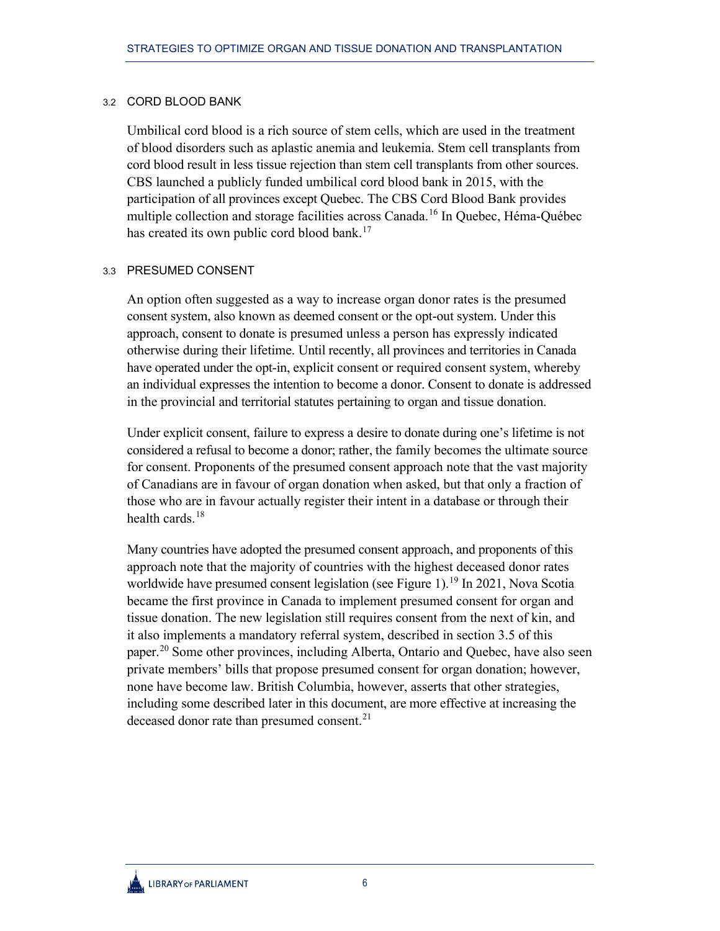#### <span id="page-9-0"></span>3.2 CORD BLOOD BANK

Umbilical cord blood is a rich source of stem cells, which are used in the treatment of blood disorders such as aplastic anemia and leukemia. Stem cell transplants from cord blood result in less tissue rejection than stem cell transplants from other sources. CBS launched a publicly funded umbilical cord blood bank in 2015, with the participation of all provinces except Quebec. The CBS Cord Blood Bank provides multiple collection and storage facilities across Canada.<sup>[16](#page-16-6)</sup> In Quebec, Héma-Québec has created its own public cord blood bank.<sup>[17](#page-16-7)</sup>

#### <span id="page-9-1"></span>3.3 PRESUMED CONSENT

An option often suggested as a way to increase organ donor rates is the presumed consent system, also known as deemed consent or the opt-out system. Under this approach, consent to donate is presumed unless a person has expressly indicated otherwise during their lifetime. Until recently, all provinces and territories in Canada have operated under the opt-in, explicit consent or required consent system, whereby an individual expresses the intention to become a donor. Consent to donate is addressed in the provincial and territorial statutes pertaining to organ and tissue donation.

Under explicit consent, failure to express a desire to donate during one's lifetime is not considered a refusal to become a donor; rather, the family becomes the ultimate source for consent. Proponents of the presumed consent approach note that the vast majority of Canadians are in favour of organ donation when asked, but that only a fraction of those who are in favour actually register their intent in a database or through their health cards. $18$ 

Many countries have adopted the presumed consent approach, and proponents of this approach note that the majority of countries with the highest deceased donor rates worldwide have presumed consent legislation (see Figure 1).<sup>[19](#page-16-9)</sup> In 2021, Nova Scotia became the first province in Canada to implement presumed consent for organ and tissue donation. The new legislation still requires consent from the next of kin, and it also implements a mandatory referral system, described in section 3.5 of this paper.<sup>[20](#page-16-10)</sup> Some other provinces, including Alberta, Ontario and Quebec, have also seen private members' bills that propose presumed consent for organ donation; however, none have become law. British Columbia, however, asserts that other strategies, including some described later in this document, are more effective at increasing the deceased donor rate than presumed consent.<sup>[21](#page-16-11)</sup>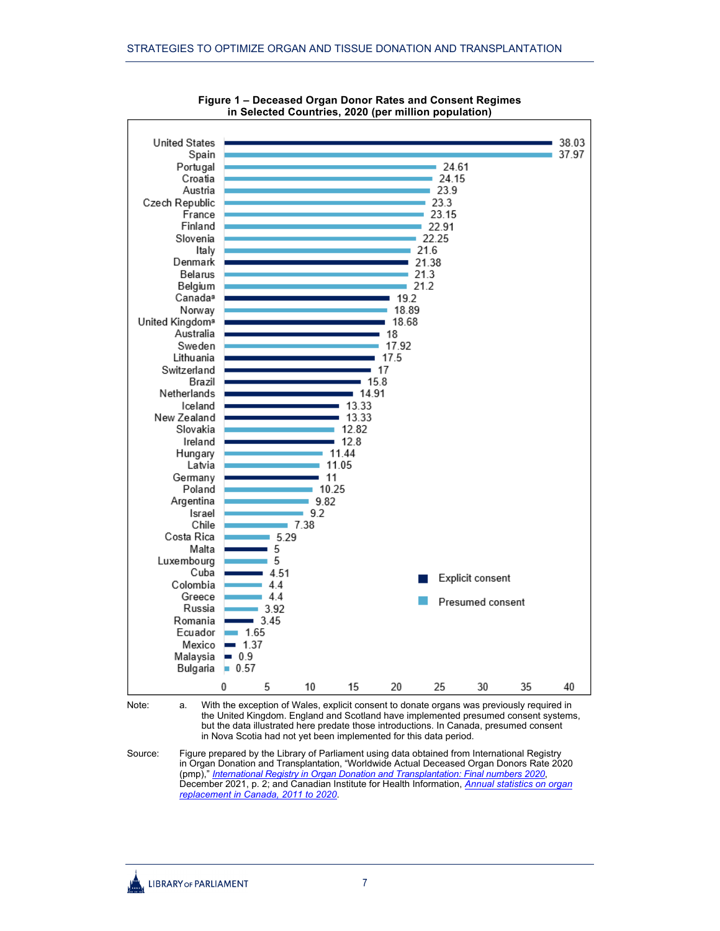

**Figure 1 – Deceased Organ Donor Rates and Consent Regimes in Selected Countries, 2020 (per million population)**

Note: a. With the exception of Wales, explicit consent to donate organs was previously required in the United Kingdom. England and Scotland have implemented presumed consent systems, but the data illustrated here predate those introductions. In Canada, presumed consent in Nova Scotia had not yet been implemented for this data period.

Source: Figure prepared by the Library of Parliament using data obtained from International Registry in Organ Donation and Transplantation, "Worldwide Actual Deceased Organ Donors Rate 2020 (pmp)," *[International Registry in Organ Donation and Transplantation: Final numbers 2020](https://www.irodat.org/img/database/pdf/Irodat%20December_final%202020.pdf#page=3)*, December 2021, p. 2; and Canadian Institute for Health Information, *[Annual statistics on organ](https://www.cihi.ca/en/annual-statistics-on-organ-replacement-in-canada-2011-to-2020)  [replacement in Canada, 2011 to 2020](https://www.cihi.ca/en/annual-statistics-on-organ-replacement-in-canada-2011-to-2020)*.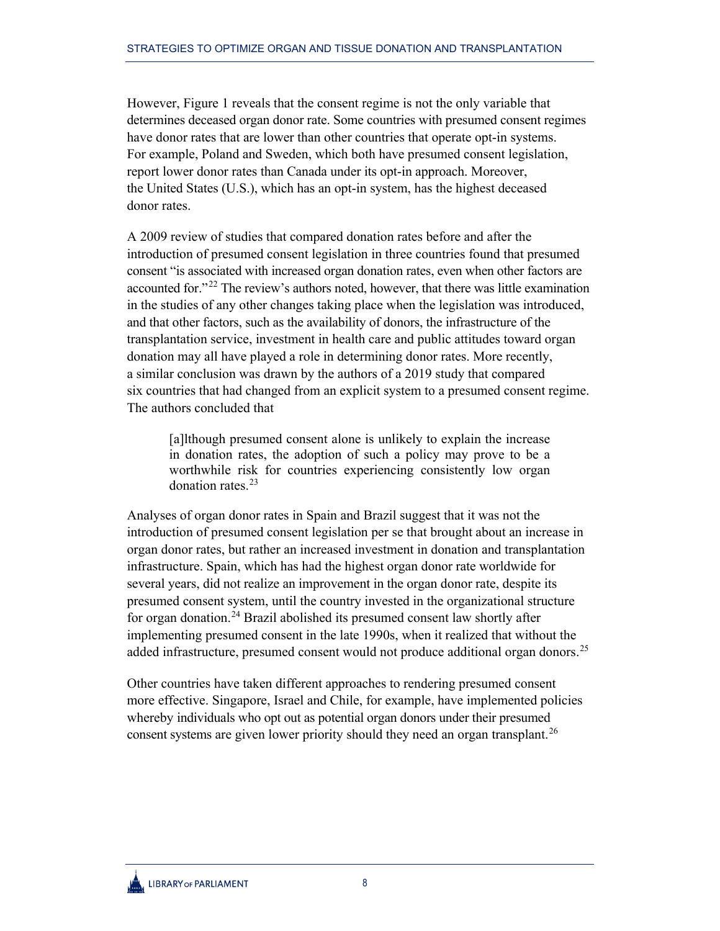However, Figure 1 reveals that the consent regime is not the only variable that determines deceased organ donor rate. Some countries with presumed consent regimes have donor rates that are lower than other countries that operate opt-in systems. For example, Poland and Sweden, which both have presumed consent legislation, report lower donor rates than Canada under its opt-in approach. Moreover, the United States (U.S.), which has an opt-in system, has the highest deceased donor rates.

A 2009 review of studies that compared donation rates before and after the introduction of presumed consent legislation in three countries found that presumed consent "is associated with increased organ donation rates, even when other factors are accounted for."<sup>[22](#page-16-12)</sup> The review's authors noted, however, that there was little examination in the studies of any other changes taking place when the legislation was introduced, and that other factors, such as the availability of donors, the infrastructure of the transplantation service, investment in health care and public attitudes toward organ donation may all have played a role in determining donor rates. More recently, a similar conclusion was drawn by the authors of a 2019 study that compared six countries that had changed from an explicit system to a presumed consent regime. The authors concluded that

[a]lthough presumed consent alone is unlikely to explain the increase in donation rates, the adoption of such a policy may prove to be a worthwhile risk for countries experiencing consistently low organ donation rates.[23](#page-16-13)

Analyses of organ donor rates in Spain and Brazil suggest that it was not the introduction of presumed consent legislation per se that brought about an increase in organ donor rates, but rather an increased investment in donation and transplantation infrastructure. Spain, which has had the highest organ donor rate worldwide for several years, did not realize an improvement in the organ donor rate, despite its presumed consent system, until the country invested in the organizational structure for organ donation.<sup>[24](#page-16-14)</sup> Brazil abolished its presumed consent law shortly after implementing presumed consent in the late 1990s, when it realized that without the added infrastructure, presumed consent would not produce additional organ donors.<sup>[25](#page-16-15)</sup>

Other countries have taken different approaches to rendering presumed consent more effective. Singapore, Israel and Chile, for example, have implemented policies whereby individuals who opt out as potential organ donors under their presumed consent systems are given lower priority should they need an organ transplant.<sup>[26](#page-16-16)</sup>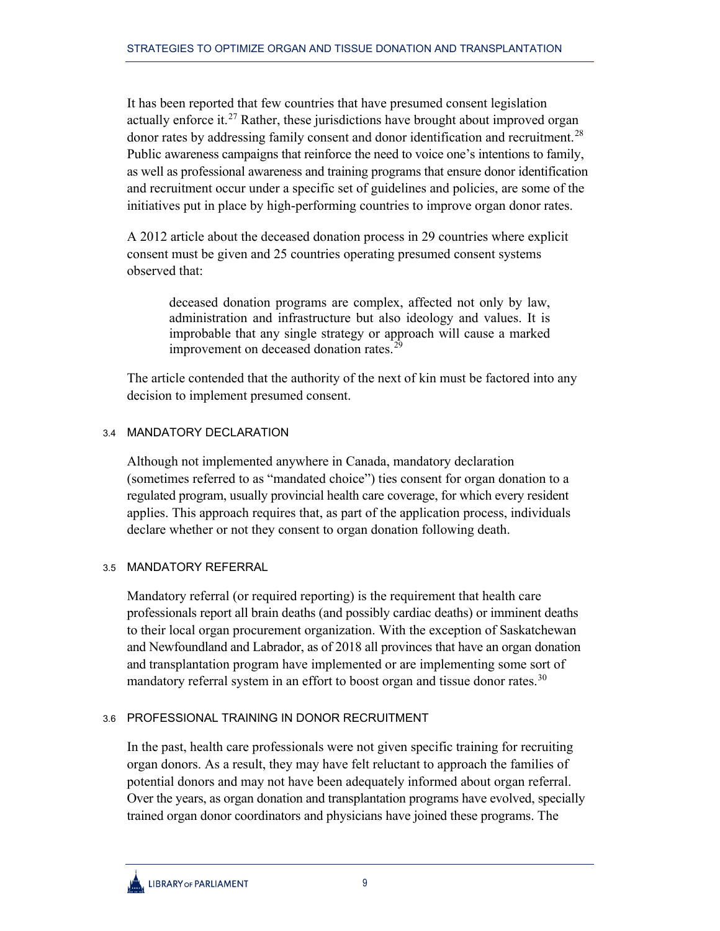It has been reported that few countries that have presumed consent legislation actually enforce it.<sup>[27](#page-16-17)</sup> Rather, these jurisdictions have brought about improved organ donor rates by addressing family consent and donor identification and recruitment.<sup>[28](#page-16-18)</sup> Public awareness campaigns that reinforce the need to voice one's intentions to family, as well as professional awareness and training programs that ensure donor identification and recruitment occur under a specific set of guidelines and policies, are some of the initiatives put in place by high-performing countries to improve organ donor rates.

A 2012 article about the deceased donation process in 29 countries where explicit consent must be given and 25 countries operating presumed consent systems observed that:

deceased donation programs are complex, affected not only by law, administration and infrastructure but also ideology and values. It is improbable that any single strategy or approach will cause a marked improvement on deceased donation rates.<sup>[29](#page-16-19)</sup>

The article contended that the authority of the next of kin must be factored into any decision to implement presumed consent.

## <span id="page-12-0"></span>3.4 MANDATORY DECLARATION

Although not implemented anywhere in Canada, mandatory declaration (sometimes referred to as "mandated choice") ties consent for organ donation to a regulated program, usually provincial health care coverage, for which every resident applies. This approach requires that, as part of the application process, individuals declare whether or not they consent to organ donation following death.

## <span id="page-12-1"></span>3.5 MANDATORY REFERRAL

Mandatory referral (or required reporting) is the requirement that health care professionals report all brain deaths (and possibly cardiac deaths) or imminent deaths to their local organ procurement organization. With the exception of Saskatchewan and Newfoundland and Labrador, as of 2018 all provinces that have an organ donation and transplantation program have implemented or are implementing some sort of mandatory referral system in an effort to boost organ and tissue donor rates.<sup>[30](#page-16-20)</sup>

## <span id="page-12-2"></span>3.6 PROFESSIONAL TRAINING IN DONOR RECRUITMENT

In the past, health care professionals were not given specific training for recruiting organ donors. As a result, they may have felt reluctant to approach the families of potential donors and may not have been adequately informed about organ referral. Over the years, as organ donation and transplantation programs have evolved, specially trained organ donor coordinators and physicians have joined these programs. The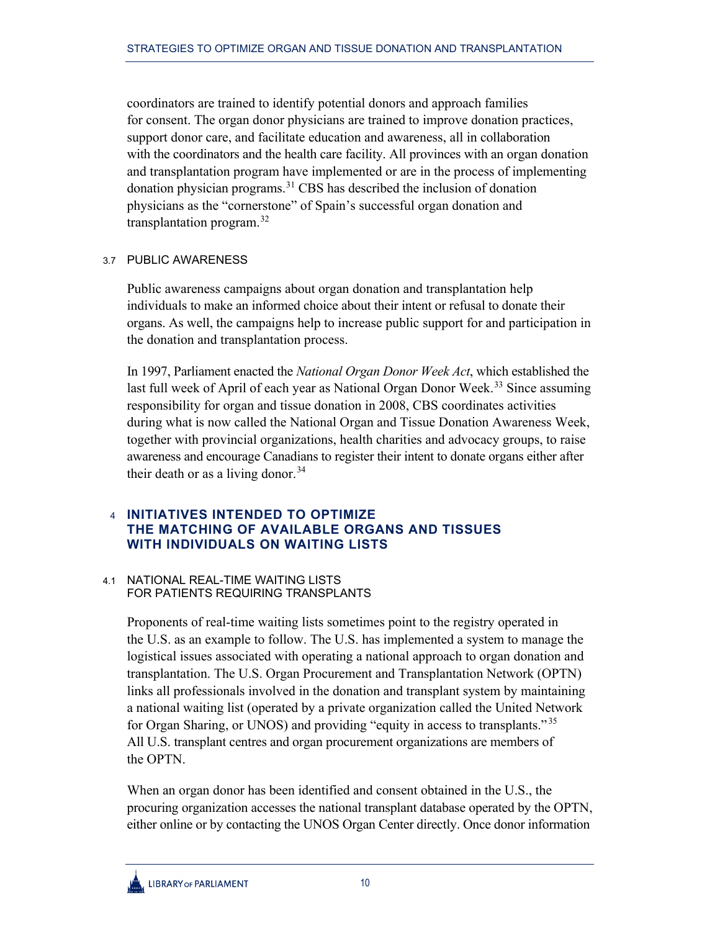coordinators are trained to identify potential donors and approach families for consent. The organ donor physicians are trained to improve donation practices, support donor care, and facilitate education and awareness, all in collaboration with the coordinators and the health care facility. All provinces with an organ donation and transplantation program have implemented or are in the process of implementing donation physician programs.<sup>[31](#page-16-21)</sup> CBS has described the inclusion of donation physicians as the "cornerstone" of Spain's successful organ donation and transplantation program.<sup>[32](#page-16-22)</sup>

#### <span id="page-13-0"></span>3.7 PUBLIC AWARENESS

Public awareness campaigns about organ donation and transplantation help individuals to make an informed choice about their intent or refusal to donate their organs. As well, the campaigns help to increase public support for and participation in the donation and transplantation process.

In 1997, Parliament enacted the *National Organ Donor Week Act*, which established the last full week of April of each year as National Organ Donor Week.<sup>[33](#page-16-23)</sup> Since assuming responsibility for organ and tissue donation in 2008, CBS coordinates activities during what is now called the National Organ and Tissue Donation Awareness Week, together with provincial organizations, health charities and advocacy groups, to raise awareness and encourage Canadians to register their intent to donate organs either after their death or as a living donor.<sup>[34](#page-16-24)</sup>

## <span id="page-13-1"></span>4 **INITIATIVES INTENDED TO OPTIMIZE THE MATCHING OF AVAILABLE ORGANS AND TISSUES WITH INDIVIDUALS ON WAITING LISTS**

#### <span id="page-13-2"></span>4.1 NATIONAL REAL-TIME WAITING LISTS FOR PATIENTS REQUIRING TRANSPLANTS

Proponents of real-time waiting lists sometimes point to the registry operated in the U.S. as an example to follow. The U.S. has implemented a system to manage the logistical issues associated with operating a national approach to organ donation and transplantation. The U.S. Organ Procurement and Transplantation Network (OPTN) links all professionals involved in the donation and transplant system by maintaining a national waiting list (operated by a private organization called the United Network for Organ Sharing, or UNOS) and providing "equity in access to transplants." [35](#page-16-25) All U.S. transplant centres and organ procurement organizations are members of the OPTN.

When an organ donor has been identified and consent obtained in the U.S., the procuring organization accesses the national transplant database operated by the OPTN, either online or by contacting the UNOS Organ Center directly. Once donor information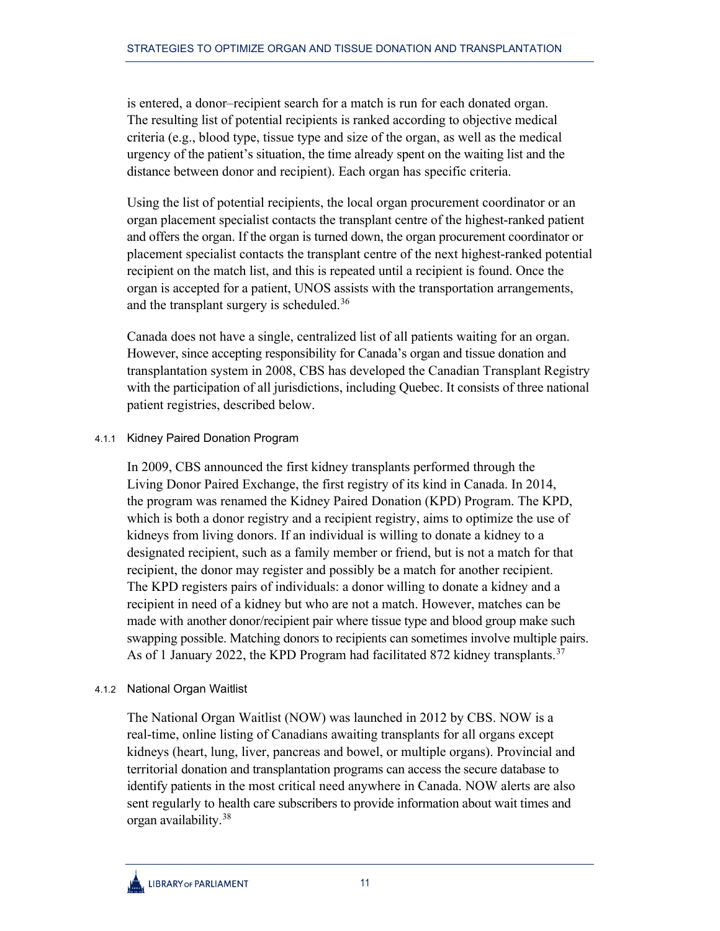is entered, a donor–recipient search for a match is run for each donated organ. The resulting list of potential recipients is ranked according to objective medical criteria (e.g., blood type, tissue type and size of the organ, as well as the medical urgency of the patient's situation, the time already spent on the waiting list and the distance between donor and recipient). Each organ has specific criteria.

Using the list of potential recipients, the local organ procurement coordinator or an organ placement specialist contacts the transplant centre of the highest-ranked patient and offers the organ. If the organ is turned down, the organ procurement coordinator or placement specialist contacts the transplant centre of the next highest-ranked potential recipient on the match list, and this is repeated until a recipient is found. Once the organ is accepted for a patient, UNOS assists with the transportation arrangements, and the transplant surgery is scheduled.<sup>[36](#page-16-26)</sup>

Canada does not have a single, centralized list of all patients waiting for an organ. However, since accepting responsibility for Canada's organ and tissue donation and transplantation system in 2008, CBS has developed the Canadian Transplant Registry with the participation of all jurisdictions, including Quebec. It consists of three national patient registries, described below.

## <span id="page-14-0"></span>4.1.1 Kidney Paired Donation Program

In 2009, CBS announced the first kidney transplants performed through the Living Donor Paired Exchange, the first registry of its kind in Canada. In 2014, the program was renamed the Kidney Paired Donation (KPD) Program. The KPD, which is both a donor registry and a recipient registry, aims to optimize the use of kidneys from living donors. If an individual is willing to donate a kidney to a designated recipient, such as a family member or friend, but is not a match for that recipient, the donor may register and possibly be a match for another recipient. The KPD registers pairs of individuals: a donor willing to donate a kidney and a recipient in need of a kidney but who are not a match. However, matches can be made with another donor/recipient pair where tissue type and blood group make such swapping possible. Matching donors to recipients can sometimes involve multiple pairs. As of 1 January 2022, the KPD Program had facilitated 872 kidney transplants.<sup>[37](#page-16-27)</sup>

## <span id="page-14-1"></span>4.1.2 National Organ Waitlist

The National Organ Waitlist (NOW) was launched in 2012 by CBS. NOW is a real-time, online listing of Canadians awaiting transplants for all organs except kidneys (heart, lung, liver, pancreas and bowel, or multiple organs). Provincial and territorial donation and transplantation programs can access the secure database to identify patients in the most critical need anywhere in Canada. NOW alerts are also sent regularly to health care subscribers to provide information about wait times and organ availability.[38](#page-16-28)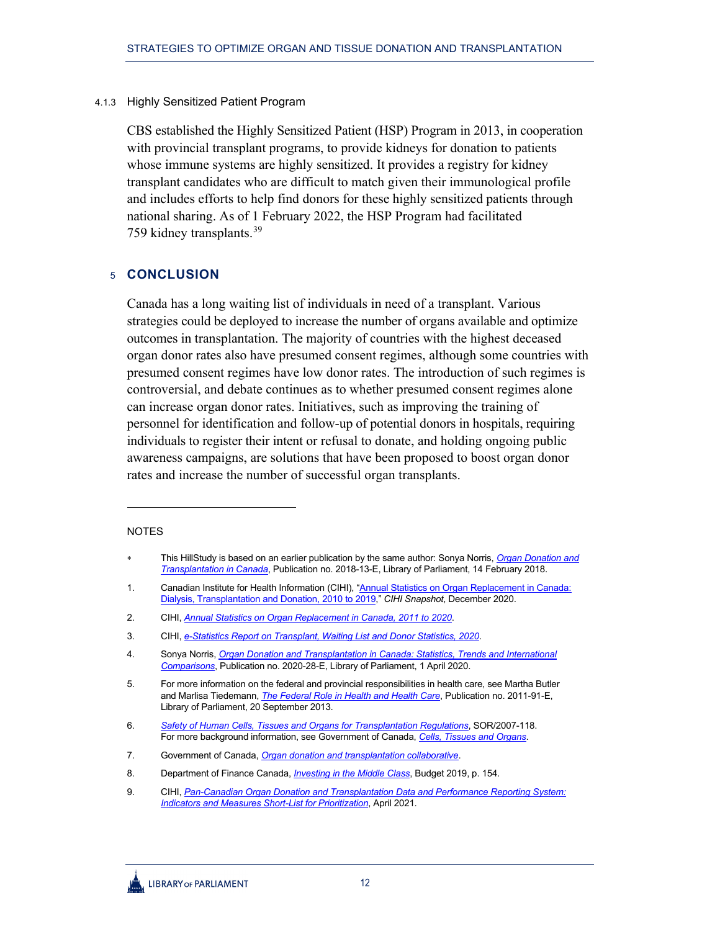#### 4.1.3 Highly Sensitized Patient Program

<span id="page-15-0"></span>CBS established the Highly Sensitized Patient (HSP) Program in 2013, in cooperation with provincial transplant programs, to provide kidneys for donation to patients whose immune systems are highly sensitized. It provides a registry for kidney transplant candidates who are difficult to match given their immunological profile and includes efforts to help find donors for these highly sensitized patients through national sharing. As of 1 February 2022, the HSP Program had facilitated 759 kidney transplants.<sup>[39](#page-16-29)</sup>

## <span id="page-15-1"></span>5 **CONCLUSION**

Canada has a long waiting list of individuals in need of a transplant. Various strategies could be deployed to increase the number of organs available and optimize outcomes in transplantation. The majority of countries with the highest deceased organ donor rates also have presumed consent regimes, although some countries with presumed consent regimes have low donor rates. The introduction of such regimes is controversial, and debate continues as to whether presumed consent regimes alone can increase organ donor rates. Initiatives, such as improving the training of personnel for identification and follow-up of potential donors in hospitals, requiring individuals to register their intent or refusal to donate, and holding ongoing public awareness campaigns, are solutions that have been proposed to boost organ donor rates and increase the number of successful organ transplants.

#### NOTES

<span id="page-15-2"></span>This HillStudy is based on an earlier publication by the same author: Sonya Norris, *Organ Donation and [Transplantation in Canada](https://publications.gc.ca/collections/collection_2018/bdp-lop/bp/YM32-2-2018-13-eng.pdf)*, Publication no. 2018-13-E, Library of Parliament, 14 February 2018.

<span id="page-15-3"></span><sup>1.</sup> Canadian Institute for Health Information (CIHI), "Annual Statistics on Organ Replacement in Canada: [Dialysis, Transplantation and Donation, 2010](https://www.cihi.ca/sites/default/files/document/corr-dialysis-transplantation-donation-2010-2019-snapshot-en.pdf) to 2019," *CIHI Snapshot*, December 2020.

<span id="page-15-4"></span><sup>2.</sup> CIHI, *[Annual Statistics on Organ Replacement in Canada,](https://www.cihi.ca/en/annual-statistics-on-organ-replacement-in-canada-2011-to-2020) 2011 to 2020*.

<span id="page-15-5"></span><sup>3.</sup> CIHI, *[e-Statistics Report on Transplant, Waiting List and Donor Statistics, 2020](https://view.officeapps.live.com/op/view.aspx?src=https%3A%2F%2Fwww.cihi.ca%2Fsites%2Fdefault%2Ffiles%2Fdocument%2Fcorr-transplant-wait-list-donor-stats-2020-en.xlsx&wdOrigin=BROWSELINK)*.

<span id="page-15-6"></span><sup>4.</sup> Sonya Norris, *[Organ Donation and Transplantation in Canada: Statistics, Trends and International](https://lop.parl.ca/sites/PublicWebsite/default/en_CA/ResearchPublications/202028E)  [Comparisons](https://lop.parl.ca/sites/PublicWebsite/default/en_CA/ResearchPublications/202028E)*, Publication no. 2020-28-E, Library of Parliament, 1 April 2020.

<span id="page-15-7"></span><sup>5.</sup> For more information on the federal and provincial responsibilities in health care, see Martha Butler and Marlisa Tiedemann, *[The Federal Role in Health and Health Care](https://lop.parl.ca/sites/PublicWebsite/default/en_CA/ResearchPublications/201191E)*, Publication no. 2011-91-E, Library of Parliament, 20 September 2013.

<span id="page-15-8"></span><sup>6.</sup> *[Safety of Human Cells, Tissues and Organs for Transplantation Regulations](https://laws-lois.justice.gc.ca/eng/regulations/SOR-2007-118/index.html)*, SOR/2007-118. For more background information, see Government of Canada, *[Cells, Tissues and Organs](https://www.canada.ca/en/health-canada/services/drugs-health-products/compliance-enforcement/information-health-product/cells-tissues-organs.html)*.

<span id="page-15-9"></span><sup>7.</sup> Government of Canada, *[Organ donation and transplantation collaborative](https://www.canada.ca/en/public-health/services/healthy-living/blood-organ-tissue-donation/organ-donation-transplantation-collaborative.html)*.

<span id="page-15-10"></span><sup>8.</sup> Department of Finance Canada, *[Investing in the Middle Class](https://www.budget.gc.ca/2019/docs/plan/budget-2019-en.pdf)*, Budget 2019, p. 154.

<span id="page-15-11"></span><sup>9.</sup> CIHI, *[Pan-Canadian Organ Donation and Transplantation Data and Performance Reporting System:](https://www.cihi.ca/sites/default/files/document/organ-donation-transplantation-data-performance-reporting-system-shortlist-report-en.pdf)  [Indicators and Measures Short-List for Prioritization](https://www.cihi.ca/sites/default/files/document/organ-donation-transplantation-data-performance-reporting-system-shortlist-report-en.pdf)*, April 2021.